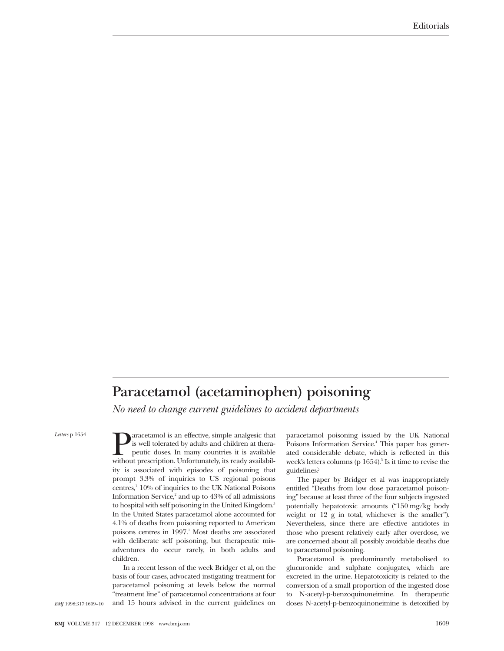**Paracetamol (acetaminophen) poisoning** *No need to change current guidelines to accident departments*

*Letters* p 1654

**Paracetamol is an effective, simple analgesic that** is well tolerated by adults and children at therapeutic doses. In many countries it is available without prescription. Unfortunately, its ready availabilis well tolerated by adults and children at therapeutic doses. In many countries it is available ity is associated with episodes of poisoning that prompt 3.3% of inquiries to US regional poisons  $centres<sup>1</sup> 10%$  of inquiries to the UK National Poisons Information Service, $2$  and up to  $43%$  of all admissions to hospital with self poisoning in the United Kingdom.<sup>3</sup> In the United States paracetamol alone accounted for 4.1% of deaths from poisoning reported to American poisons centres in  $1997<sup>1</sup>$  Most deaths are associated with deliberate self poisoning, but therapeutic misadventures do occur rarely, in both adults and children.

In a recent lesson of the week Bridger et al, on the basis of four cases, advocated instigating treatment for paracetamol poisoning at levels below the normal "treatment line" of paracetamol concentrations at four and 15 hours advised in the current guidelines on

paracetamol poisoning issued by the UK National Poisons Information Service.<sup>4</sup> This paper has generated considerable debate, which is reflected in this week's letters columns (p  $1654$ ).<sup>5</sup> Is it time to revise the guidelines?

The paper by Bridger et al was inappropriately entitled "Deaths from low dose paracetamol poisoning" because at least three of the four subjects ingested potentially hepatotoxic amounts ("150 mg/kg body weight or 12 g in total, whichever is the smaller"). Nevertheless, since there are effective antidotes in those who present relatively early after overdose, we are concerned about all possibly avoidable deaths due to paracetamol poisoning.

Paracetamol is predominantly metabolised to glucuronide and sulphate conjugates, which are excreted in the urine. Hepatotoxicity is related to the conversion of a small proportion of the ingested dose to N-acetyl-p-benzoquinoneimine. In therapeutic doses N-acetyl-p-benzoquinoneimine is detoxified by

*BMJ* 1998;317:1609–10